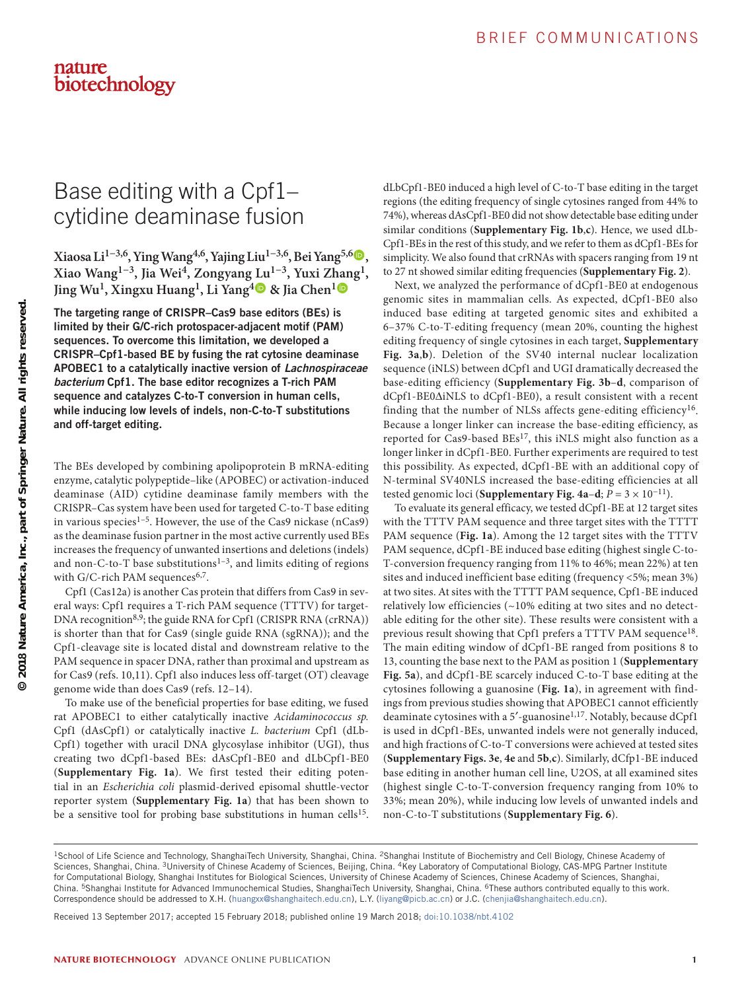# Base editing with a Cpf1– cytidine deaminase fusion

**Xiaosa Li1−3,6, Ying Wang4,6, Yajing Liu1−3,6, Bei Yang5,[6](http://orcid.org/0000-0001-5389-3859) , Xiao Wang1−3, Jia Wei4, Zongyang Lu1−3, Yuxi Zhang1, Jing Wu1, Xingxu Huang1, Li Yang[4](http://orcid.org/0000-0001-8833-7473) & Jia Chen[1](http://orcid.org/0000-0002-4242-2899)**

The targeting range of CRISPR–Cas9 base editors (BEs) is limited by their G/C-rich protospacer-adjacent motif (PAM) sequences. To overcome this limitation, we developed a CRISPR–Cpf1-based BE by fusing the rat cytosine deaminase APOBEC1 to a catalytically inactive version of *Lachnospiraceae bacterium* Cpf1. The base editor recognizes a T-rich PAM sequence and catalyzes C-to-T conversion in human cells, while inducing low levels of indels, non-C-to-T substitutions and off-target editing.

The BEs developed by combining apolipoprotein B mRNA-editing enzyme, catalytic polypeptide–like (APOBEC) or activation-induced deaminase (AID) cytidine deaminase family members with the CRISPR–Cas system have been used for targeted C-to-T base editing in various species<sup>1-[5](#page-3-1)</sup>. However, the use of the Cas9 nickase ( $nCas9$ ) as the deaminase fusion partner in the most active currently used BEs increases the frequency of unwanted insertions and deletions (indels) and non-C-to-T base substitutions<sup>1-3</sup>, and limits editing of regions with G/C-rich PAM sequences<sup>[6,](#page-3-3)[7](#page-3-4)</sup>.

Cpf1 (Cas12a) is another Cas protein that differs from Cas9 in several ways: Cpf1 requires a T-rich PAM sequence (TTTV) for target-DNA recognition<sup>[8,](#page-3-5)[9](#page-3-6)</sup>; the guide RNA for Cpf1 (CRISPR RNA (crRNA)) is shorter than that for Cas9 (single guide RNA (sgRNA)); and the Cpf1-cleavage site is located distal and downstream relative to the PAM sequence in spacer DNA, rather than proximal and upstream as for Cas9 (refs. [10,](#page-3-7)[11](#page-3-8)). Cpf1 also induces less off-target (OT) cleavage genome wide than does Cas9 (refs. [12–](#page-3-9)[14](#page-3-10)).

To make use of the beneficial properties for base editing, we fused rat APOBEC1 to either catalytically inactive *Acidaminococcus sp.* Cpf1 (dAsCpf1) or catalytically inactive *L. bacterium* Cpf1 (dLb-Cpf1) together with uracil DNA glycosylase inhibitor (UGI), thus creating two dCpf1-based BEs: dAsCpf1-BE0 and dLbCpf1-BE0 (**Supplementary Fig. 1a**). We first tested their editing potential in an *Escherichia coli* plasmid-derived episomal shuttle-vector reporter system (**Supplementary Fig. 1a**) that has been shown to be a sensitive tool for probing base substitutions in human cells<sup>[15](#page-3-11)</sup>.

dLbCpf1-BE0 induced a high level of C-to-T base editing in the target regions (the editing frequency of single cytosines ranged from 44% to 74%), whereas dAsCpf1-BE0 did not show detectable base editing under similar conditions (**Supplementary Fig. 1b**,**c**). Hence, we used dLb-Cpf1-BEs in the rest of this study, and we refer to them as dCpf1-BEs for simplicity. We also found that crRNAs with spacers ranging from 19 nt to 27 nt showed similar editing frequencies (**Supplementary Fig. 2**).

Next, we analyzed the performance of dCpf1-BE0 at endogenous genomic sites in mammalian cells. As expected, dCpf1-BE0 also induced base editing at targeted genomic sites and exhibited a 6–37% C-to-T-editing frequency (mean 20%, counting the highest editing frequency of single cytosines in each target, **Supplementary Fig. 3a**,**b**). Deletion of the SV40 internal nuclear localization sequence (iNLS) between dCpf1 and UGI dramatically decreased the base-editing efficiency (**Supplementary Fig. 3b**–**d**, comparison of dCpf1-BE0∆iNLS to dCpf1-BE0), a result consistent with a recent finding that the number of NLSs affects gene-editing efficiency<sup>[16](#page-3-12)</sup>. Because a longer linker can increase the base-editing efficiency, as reported for Cas9-based BEs<sup>[17](#page-3-13)</sup>, this iNLS might also function as a longer linker in dCpf1-BE0. Further experiments are required to test this possibility. As expected, dCpf1-BE with an additional copy of N-terminal SV40NLS increased the base-editing efficiencies at all tested genomic loci (**Supplementary Fig. 4a–d**;  $\overline{P} = 3 \times 10^{-11}$ ).

To evaluate its general efficacy, we tested dCpf1-BE at 12 target sites with the TTTV PAM sequence and three target sites with the TTTT PAM sequence (**[Fig. 1a](#page-1-0)**). Among the 12 target sites with the TTTV PAM sequence, dCpf1-BE induced base editing (highest single C-to-T-conversion frequency ranging from 11% to 46%; mean 22%) at ten sites and induced inefficient base editing (frequency <5%; mean 3%) at two sites. At sites with the TTTT PAM sequence, Cpf1-BE induced relatively low efficiencies (~10% editing at two sites and no detectable editing for the other site). These results were consistent with a previous result showing that Cpf1 prefers a TTTV PAM sequence<sup>[18](#page-3-14)</sup>. The main editing window of dCpf1-BE ranged from positions 8 to 13, counting the base next to the PAM as position 1 (**Supplementary Fig. 5a**), and dCpf1-BE scarcely induced C-to-T base editing at the cytosines following a guanosine (**[Fig. 1a](#page-1-0)**), in agreement with findings from previous studies showing that APOBEC1 cannot efficiently deaminate cytosines with a 5'-guanosine<sup>[1,](#page-3-0)17</sup>. Notably, because dCpf1 is used in dCpf1-BEs, unwanted indels were not generally induced, and high fractions of C-to-T conversions were achieved at tested sites (**Supplementary Figs. 3e**, **4e** and **5b**,**c**). Similarly, dCfp1-BE induced base editing in another human cell line, U2OS, at all examined sites (highest single C-to-T-conversion frequency ranging from 10% to 33%; mean 20%), while inducing low levels of unwanted indels and non-C-to-T substitutions (**Supplementary Fig. 6**).

Received 13 September 2017; accepted 15 February 2018; published online 19 March 2018; [doi:10.1038/nbt.4102](http://dx.doi.org/10.1038/nbt.4102)

<sup>&</sup>lt;sup>1</sup>School of Life Science and Technology, ShanghaiTech University, Shanghai, China. <sup>2</sup>Shanghai Institute of Biochemistry and Cell Biology, Chinese Academy of Sciences, Shanghai, China. <sup>3</sup>University of Chinese Academy of Sciences, Beijing, China. <sup>4</sup>Key Laboratory of Computational Biology, CAS-MPG Partner Institute for Computational Biology, Shanghai Institutes for Biological Sciences, University of Chinese Academy of Sciences, Chinese Academy of Sciences, Shanghai, China. <sup>5</sup>Shanghai Institute for Advanced Immunochemical Studies, ShanghaiTech University, Shanghai, China. <sup>6</sup>These authors contributed equally to this work. Correspondence should be addressed to X.H. (huangxx@shanghaitech.edu.cn), L.Y. (liyang@picb.ac.cn) or J.C. (chenjia@shanghaitech.edu.cn).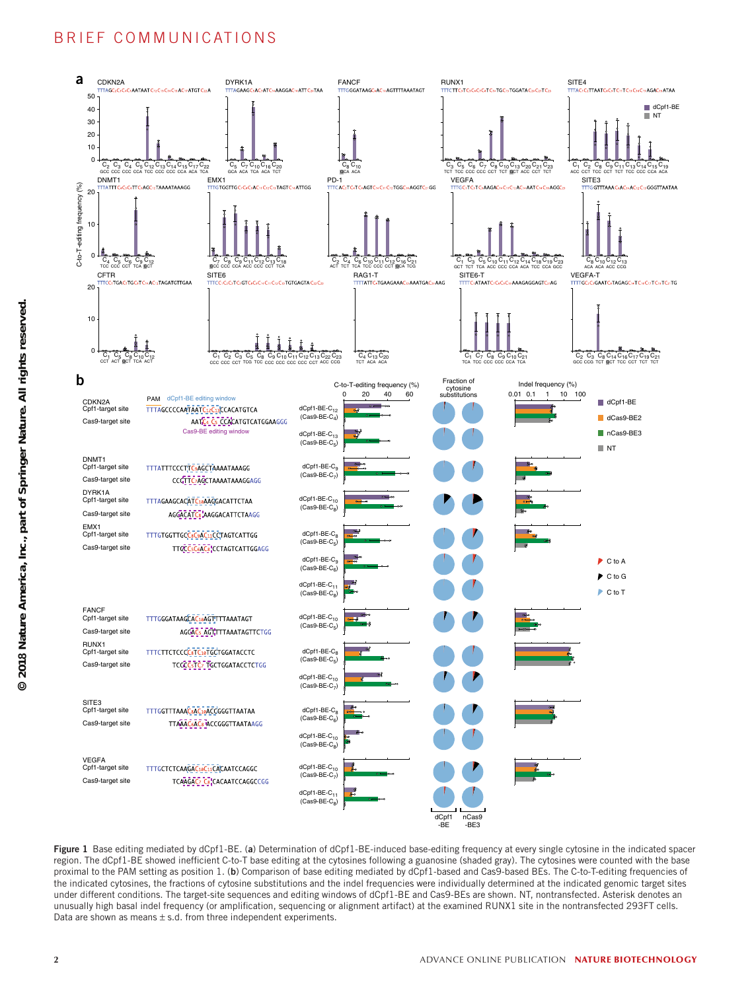# BRIEF COMMUNICATIONS



<span id="page-1-0"></span>Figure 1 Base editing mediated by dCpf1-BE. (a) Determination of dCpf1-BE-induced base-editing frequency at every single cytosine in the indicated spacer region. The dCpf1-BE showed inefficient C-to-T base editing at the cytosines following a guanosine (shaded gray). The cytosines were counted with the base proximal to the PAM setting as position 1. (b) Comparison of base editing mediated by dCpf1-based and Cas9-based BEs. The C-to-T-editing frequencies of the indicated cytosines, the fractions of cytosine substitutions and the indel frequencies were individually determined at the indicated genomic target sites under different conditions. The target-site sequences and editing windows of dCpf1-BE and Cas9-BEs are shown. NT, nontransfected. Asterisk denotes an unusually high basal indel frequency (or amplification, sequencing or alignment artifact) at the examined RUNX1 site in the nontransfected 293FT cells. Data are shown as means  $\pm$  s.d. from three independent experiments.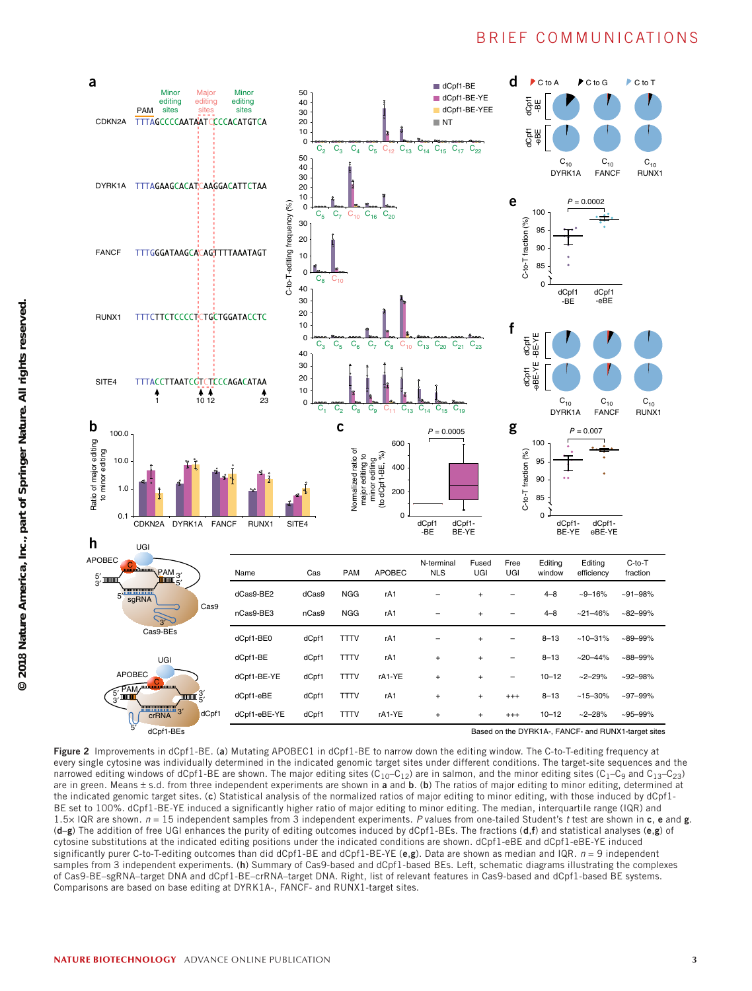# B R I E F COMMUNICATIONS



<span id="page-2-0"></span>Figure 2 Improvements in dCpf1-BE. (a) Mutating APOBEC1 in dCpf1-BE to narrow down the editing window. The C-to-T-editing frequency at every single cytosine was individually determined in the indicated genomic target sites under different conditions. The target-site sequences and the narrowed editing windows of dCpf1-BE are shown. The major editing sites (C<sub>10</sub>-C<sub>12</sub>) are in salmon, and the minor editing sites (C<sub>1</sub>-C<sub>9</sub> and C<sub>13</sub>-C<sub>23</sub>) are in green. Means ± s.d. from three independent experiments are shown in a and b. (b) The ratios of major editing to minor editing, determined at the indicated genomic target sites. (c) Statistical analysis of the normalized ratios of major editing to minor editing, with those induced by dCpf1- BE set to 100%. dCpf1-BE-YE induced a significantly higher ratio of major editing to minor editing. The median, interquartile range (IQR) and 1.5× IQR are shown. *n* = 15 independent samples from 3 independent experiments. *P* values from one-tailed Student's *t* test are shown in c, e and g.  $(d-g)$  The addition of free UGI enhances the purity of editing outcomes induced by dCpf1-BEs. The fractions  $(d,f)$  and statistical analyses  $(e,g)$  of cytosine substitutions at the indicated editing positions under the indicated conditions are shown. dCpf1-eBE and dCpf1-eBE-YE induced significantly purer C-to-T-editing outcomes than did dCpf1-BE and dCpf1-BE-YE (e,g). Data are shown as median and IQR. *n* = 9 independent samples from 3 independent experiments. (h) Summary of Cas9-based and dCpf1-based BEs. Left, schematic diagrams illustrating the complexes of Cas9-BE–sgRNA–target DNA and dCpf1-BE–crRNA–target DNA. Right, list of relevant features in Cas9-based and dCpf1-based BE systems. Comparisons are based on base editing at DYRK1A-, FANCF- and RUNX1-target sites.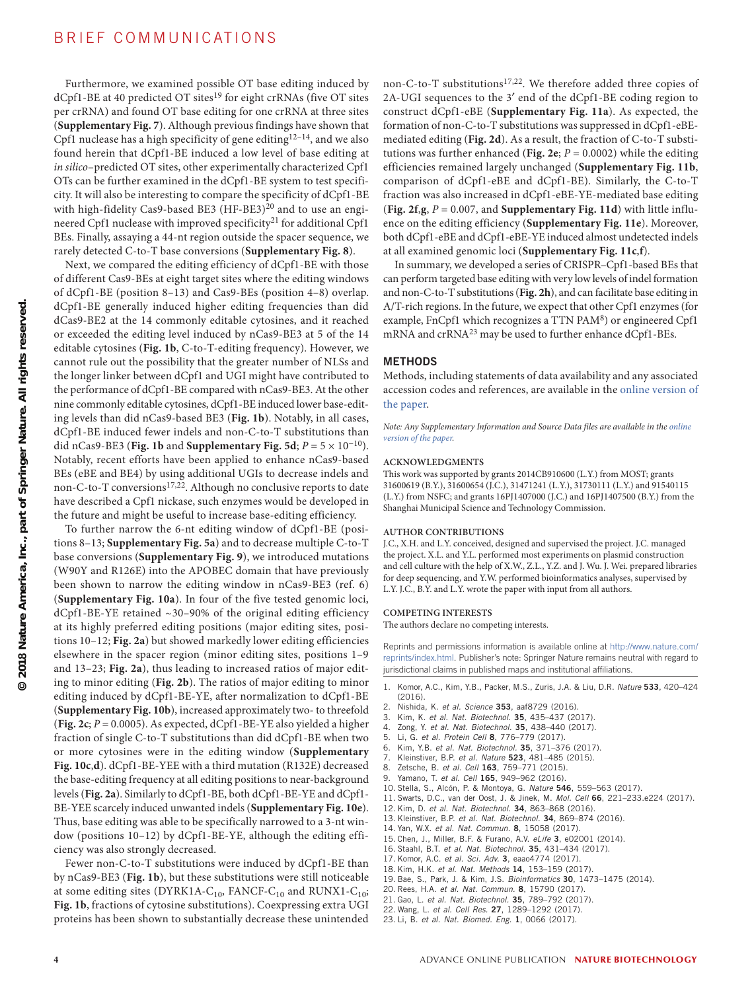# BRIEF COMMUNICATIONS

Furthermore, we examined possible OT base editing induced by dCpf1-BE at 40 predicted OT sites<sup>[19](#page-3-15)</sup> for eight crRNAs (five OT sites per crRNA) and found OT base editing for one crRNA at three sites (**Supplementary Fig. 7**). Although previous findings have shown that Cpf1 nuclease has a high specificity of gene editing $12-14$ , and we also found herein that dCpf1-BE induced a low level of base editing at *in silico*–predicted OT sites, other experimentally characterized Cpf1 OTs can be further examined in the dCpf1-BE system to test specificity. It will also be interesting to compare the specificity of dCpf1-BE with high-fidelity Cas9-based BE3 (HF-BE3)<sup>20</sup> and to use an engi-neered Cpf1 nuclease with improved specificity<sup>[21](#page-3-17)</sup> for additional Cpf1 BEs. Finally, assaying a 44-nt region outside the spacer sequence, we rarely detected C-to-T base conversions (**Supplementary Fig. 8**).

Next, we compared the editing efficiency of dCpf1-BE with those of different Cas9-BEs at eight target sites where the editing windows of dCpf1-BE (position 8–13) and Cas9-BEs (position 4–8) overlap. dCpf1-BE generally induced higher editing frequencies than did dCas9-BE2 at the 14 commonly editable cytosines, and it reached or exceeded the editing level induced by nCas9-BE3 at 5 of the 14 editable cytosines (**[Fig. 1b](#page-1-0)**, C-to-T-editing frequency). However, we cannot rule out the possibility that the greater number of NLSs and the longer linker between dCpf1 and UGI might have contributed to the performance of dCpf1-BE compared with nCas9-BE3. At the other nine commonly editable cytosines, dCpf1-BE induced lower base-editing levels than did nCas9-based BE3 (**[Fig. 1b](#page-1-0)**). Notably, in all cases, dCpf1-BE induced fewer indels and non-C-to-T substitutions than did nCas9-BE3 (**[Fig. 1b](#page-1-0)** and **Supplementary Fig. 5d**;  $P = 5 \times 10^{-10}$ ). Notably, recent efforts have been applied to enhance nCas9-based BEs (eBE and BE4) by using additional UGIs to decrease indels and non-C-to-T conversions[17,](#page-3-13)[22](#page-3-18). Although no conclusive reports to date have described a Cpf1 nickase, such enzymes would be developed in the future and might be useful to increase base-editing efficiency.

To further narrow the 6-nt editing window of dCpf1-BE (positions 8–13; **Supplementary Fig. 5a**) and to decrease multiple C-to-T base conversions (**Supplementary Fig. 9**), we introduced mutations (W90Y and R126E) into the APOBEC domain that have previously been shown to narrow the editing window in nCas9-BE3 (ref. [6](#page-3-3)) (**Supplementary Fig. 10a**). In four of the five tested genomic loci, dCpf1-BE-YE retained ~30–90% of the original editing efficiency at its highly preferred editing positions (major editing sites, positions 10–12; **[Fig. 2a](#page-2-0)**) but showed markedly lower editing efficiencies elsewhere in the spacer region (minor editing sites, positions 1–9 and 13–23; **[Fig. 2a](#page-2-0)**), thus leading to increased ratios of major editing to minor editing (**[Fig. 2b](#page-2-0)**). The ratios of major editing to minor editing induced by dCpf1-BE-YE, after normalization to dCpf1-BE (**Supplementary Fig. 10b**), increased approximately two- to threefold (**[Fig. 2c](#page-2-0)**; *P* = 0.0005). As expected, dCpf1-BE-YE also yielded a higher fraction of single C-to-T substitutions than did dCpf1-BE when two or more cytosines were in the editing window (**Supplementary Fig. 10c**,**d**). dCpf1-BE-YEE with a third mutation (R132E) decreased the base-editing frequency at all editing positions to near-background levels (**[Fig. 2a](#page-2-0)**). Similarly to dCpf1-BE, both dCpf1-BE-YE and dCpf1- BE-YEE scarcely induced unwanted indels (**Supplementary Fig. 10e**). Thus, base editing was able to be specifically narrowed to a 3-nt window (positions 10–12) by dCpf1-BE-YE, although the editing efficiency was also strongly decreased.

Fewer non-C-to-T substitutions were induced by dCpf1-BE than by nCas9-BE3 (**[Fig. 1b](#page-1-0)**), but these substitutions were still noticeable at some editing sites (DYRK1A- $C_{10}$ , FANCF- $C_{10}$  and RUNX1- $C_{10}$ ; **[Fig. 1b](#page-1-0)**, fractions of cytosine substitutions). Coexpressing extra UGI proteins has been shown to substantially decrease these unintended

non-C-to-T substitutions[17,](#page-3-13)[22.](#page-3-18) We therefore added three copies of 2A-UGI sequences to the 3′ end of the dCpf1-BE coding region to construct dCpf1-eBE (**Supplementary Fig. 11a**). As expected, the formation of non-C-to-T substitutions was suppressed in dCpf1-eBEmediated editing (**[Fig. 2d](#page-2-0)**). As a result, the fraction of C-to-T substi-tutions was further enhanced ([Fig. 2e](#page-2-0);  $P = 0.0002$ ) while the editing efficiencies remained largely unchanged (**Supplementary Fig. 11b**, comparison of dCpf1-eBE and dCpf1-BE). Similarly, the C-to-T fraction was also increased in dCpf1-eBE-YE-mediated base editing (**[Fig. 2f](#page-2-0)**,**g**, *P* = 0.007, and **Supplementary Fig. 11d**) with little influence on the editing efficiency (**Supplementary Fig. 11e**). Moreover, both dCpf1-eBE and dCpf1-eBE-YE induced almost undetected indels at all examined genomic loci (**Supplementary Fig. 11c**,**f**).

In summary, we developed a series of CRISPR–Cpf1-based BEs that can perform targeted base editing with very low levels of indel formation and non-C-to-T substitutions (**[Fig. 2h](#page-2-0)**), and can facilitate base editing in A/T-rich regions. In the future, we expect that other Cpf1 enzymes (for example, FnCpf1 which recognizes a TTN PAM[8](#page-3-5)) or engineered Cpf1 mRNA and crRNA[23](#page-3-19) may be used to further enhance dCpf1-BEs.

### **METHODS**

Methods, including statements of data availability and any associated accession codes and references, are available in the online [version](http://dx.doi.org/10.1038/nbt.4102) of the [paper.](http://dx.doi.org/10.1038/nbt.4102)

*Note: Any Supplementary Information and Source Data files are available in the [online](http://dx.doi.org/10.1038/nbt.4102) [version](http://dx.doi.org/10.1038/nbt.4102) of the paper.*

### **Acknowledgments**

This work was supported by grants 2014CB910600 (L.Y.) from MOST; grants 31600619 (B.Y.), 31600654 (J.C.), 31471241 (L.Y.), 31730111 (L.Y.) and 91540115 (L.Y.) from NSFC; and grants 16PJ1407000 (J.C.) and 16PJ1407500 (B.Y.) from the Shanghai Municipal Science and Technology Commission.

### **AUTHOR CONTRIBUTIONS**

J.C., X.H. and L.Y. conceived, designed and supervised the project. J.C. managed the project. X.L. and Y.L. performed most experiments on plasmid construction and cell culture with the help of X.W., Z.L., Y.Z. and J. Wu. J. Wei. prepared libraries for deep sequencing, and Y.W. performed bioinformatics analyses, supervised by L.Y. J.C., B.Y. and L.Y. wrote the paper with input from all authors.

#### **COMPETING INTERESTS**

The authors declare no competing interests.

Reprints and permissions information is available online at [http://www.nature.com/](http://www.nature.com/reprints/index.html) [reprints/index.html.](http://www.nature.com/reprints/index.html) Publisher's note: Springer Nature remains neutral with regard to jurisdictional claims in published maps and institutional affiliations.

- <span id="page-3-0"></span>1. Komor, A.C., Kim, Y.B., Packer, M.S., Zuris, J.A. & Liu, D.R. *Nature* 533, 420–424 (2016).
- 2. Nishida, K. *et al. Science* 353, aaf8729 (2016).
- <span id="page-3-2"></span>3. Kim, K. *et al. Nat. Biotechnol.* 35, 435–437 (2017).
- 4. Zong, Y. *et al. Nat. Biotechnol.* 35, 438–440 (2017).
- <span id="page-3-1"></span>5. Li, G. *et al. Protein Cell* 8, 776–779 (2017).
- <span id="page-3-3"></span>6. Kim, Y.B. *et al. Nat. Biotechnol.* 35, 371–376 (2017).
- <span id="page-3-4"></span>7. Kleinstiver, B.P. *et al. Nature* 523, 481–485 (2015).
- <span id="page-3-5"></span>8. Zetsche, B. *et al. Cell* 163, 759–771 (2015).
- <span id="page-3-6"></span>9. Yamano, T. *et al. Cell* 165, 949–962 (2016).
- <span id="page-3-7"></span>10. Stella, S., Alcón, P. & Montoya, G. *Nature* 546, 559–563 (2017).
- <span id="page-3-8"></span>11. Swarts, D.C., van der Oost, J. & Jinek, M. *Mol. Cell* 66, 221–233.e224 (2017).
- <span id="page-3-9"></span>12. Kim, D. *et al. Nat. Biotechnol.* 34, 863–868 (2016). 13. Kleinstiver, B.P. *et al. Nat. Biotechnol.* 34, 869–874 (2016).
- <span id="page-3-10"></span>14. Yan, W.X. *et al. Nat. Commun.* 8, 15058 (2017).
- <span id="page-3-11"></span>15. Chen, J., Miller, B.F. & Furano, A.V. *eLife* 3, e02001 (2014).
- <span id="page-3-12"></span>16. Staahl, B.T. *et al. Nat. Biotechnol.* 35, 431–434 (2017).
- <span id="page-3-13"></span>17. Komor, A.C. *et al. Sci. Adv.* 3, eaao4774 (2017).
- <span id="page-3-14"></span>18. Kim, H.K. *et al. Nat. Methods* 14, 153–159 (2017).
- <span id="page-3-15"></span>19. Bae, S., Park, J. & Kim, J.S. *Bioinformatics* 30, 1473–1475 (2014).
- <span id="page-3-16"></span>20. Rees, H.A. *et al. Nat. Commun.* 8, 15790 (2017).
- <span id="page-3-17"></span>21. Gao, L. *et al. Nat. Biotechnol.* 35, 789–792 (2017).
- <span id="page-3-18"></span>22. Wang, L. *et al. Cell Res.* 27, 1289–1292 (2017).
- <span id="page-3-19"></span>23. Li, B. *et al. Nat. Biomed. Eng.* 1, 0066 (2017).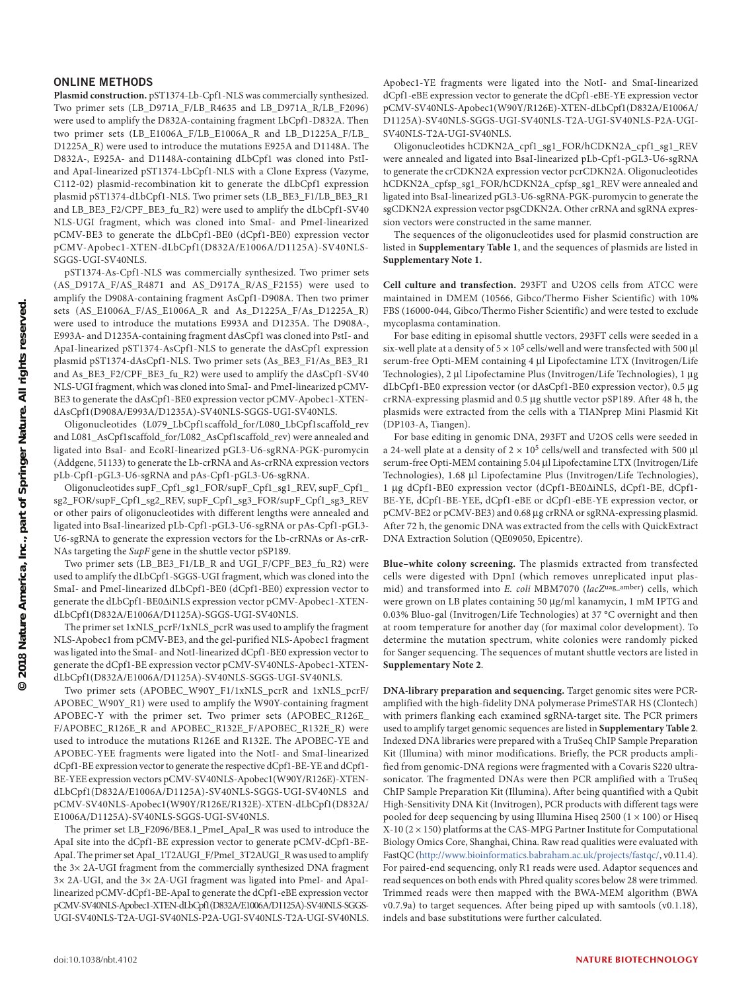### ONLINE METHODS

**Plasmid construction.** pST1374-Lb-Cpf1-NLS was commercially synthesized. Two primer sets (LB\_D971A\_F/LB\_R4635 and LB\_D971A\_R/LB\_F2096) were used to amplify the D832A-containing fragment LbCpf1-D832A. Then two primer sets (LB\_E1006A\_F/LB\_E1006A\_R and LB\_D1225A\_F/LB\_ D1225A\_R) were used to introduce the mutations E925A and D1148A. The D832A-, E925A- and D1148A-containing dLbCpf1 was cloned into PstIand ApaI-linearized pST1374-LbCpf1-NLS with a Clone Express (Vazyme, C112-02) plasmid-recombination kit to generate the dLbCpf1 expression plasmid pST1374-dLbCpf1-NLS. Two primer sets (LB\_BE3\_F1/LB\_BE3\_R1 and LB\_BE3\_F2/CPF\_BE3\_fu\_R2) were used to amplify the dLbCpf1-SV40 NLS-UGI fragment, which was cloned into SmaI- and PmeI-linearized pCMV-BE3 to generate the dLbCpf1-BE0 (dCpf1-BE0) expression vector pCMV-Apobec1-XTEN-dLbCpf1(D832A/E1006A/D1125A)-SV40NLS-SGGS-UGI-SV40NLS.

pST1374-As-Cpf1-NLS was commercially synthesized. Two primer sets (AS\_D917A\_F/AS\_R4871 and AS\_D917A\_R/AS\_F2155) were used to amplify the D908A-containing fragment AsCpf1-D908A. Then two primer sets (AS\_E1006A\_F/AS\_E1006A\_R and As\_D1225A\_F/As\_D1225A\_R) were used to introduce the mutations E993A and D1235A. The D908A-, E993A- and D1235A-containing fragment dAsCpf1 was cloned into PstI- and ApaI-linearized pST1374-AsCpf1-NLS to generate the dAsCpf1 expression plasmid pST1374-dAsCpf1-NLS. Two primer sets (As\_BE3\_F1/As\_BE3\_R1 and As\_BE3\_F2/CPF\_BE3\_fu\_R2) were used to amplify the dAsCpf1-SV40 NLS-UGI fragment, which was cloned into SmaI- and PmeI-linearized pCMV-BE3 to generate the dAsCpf1-BE0 expression vector pCMV-Apobec1-XTENdAsCpf1(D908A/E993A/D1235A)-SV40NLS-SGGS-UGI-SV40NLS.

Oligonucleotides (L079\_LbCpf1scaffold\_for/L080\_LbCpf1scaffold\_rev and L081\_AsCpf1scaffold\_for/L082\_AsCpf1scaffold\_rev) were annealed and ligated into BsaI- and EcoRI-linearized pGL3-U6-sgRNA-PGK-puromycin (Addgene, 51133) to generate the Lb-crRNA and As-crRNA expression vectors pLb-Cpf1-pGL3-U6-sgRNA and pAs-Cpf1-pGL3-U6-sgRNA.

Oligonucleotides supF\_Cpf1\_sg1\_FOR/supF\_Cpf1\_sg1\_REV, supF\_Cpf1\_ sg2\_FOR/supF\_Cpf1\_sg2\_REV, supF\_Cpf1\_sg3\_FOR/supF\_Cpf1\_sg3\_REV or other pairs of oligonucleotides with different lengths were annealed and ligated into BsaI-linearized pLb-Cpf1-pGL3-U6-sgRNA or pAs-Cpf1-pGL3- U6-sgRNA to generate the expression vectors for the Lb-crRNAs or As-crR-NAs targeting the *SupF* gene in the shuttle vector pSP189.

Two primer sets (LB\_BE3\_F1/LB\_R and UGI\_F/CPF\_BE3\_fu\_R2) were used to amplify the dLbCpf1-SGGS-UGI fragment, which was cloned into the SmaI- and PmeI-linearized dLbCpf1-BE0 (dCpf1-BE0) expression vector to generate the dLbCpf1-BE0∆iNLS expression vector pCMV-Apobec1-XTENdLbCpf1(D832A/E1006A/D1125A)-SGGS-UGI-SV40NLS.

The primer set 1xNLS\_pcrF/1xNLS\_pcrR was used to amplify the fragment NLS-Apobec1 from pCMV-BE3, and the gel-purified NLS-Apobec1 fragment was ligated into the SmaI- and NotI-linearized dCpf1-BE0 expression vector to generate the dCpf1-BE expression vector pCMV-SV40NLS-Apobec1-XTENdLbCpf1(D832A/E1006A/D1125A)-SV40NLS-SGGS-UGI-SV40NLS.

Two primer sets (APOBEC\_W90Y\_F1/1xNLS\_pcrR and 1xNLS\_pcrF/ APOBEC\_W90Y\_R1) were used to amplify the W90Y-containing fragment APOBEC-Y with the primer set. Two primer sets (APOBEC\_R126E\_ F/APOBEC\_R126E\_R and APOBEC\_R132E\_F/APOBEC\_R132E\_R) were used to introduce the mutations R126E and R132E. The APOBEC-YE and APOBEC-YEE fragments were ligated into the NotI- and SmaI-linearized dCpf1-BE expression vector to generate the respective dCpf1-BE-YE and dCpf1- BE-YEE expression vectors pCMV-SV40NLS-Apobec1(W90Y/R126E)-XTENdLbCpf1(D832A/E1006A/D1125A)-SV40NLS-SGGS-UGI-SV40NLS and pCMV-SV40NLS-Apobec1(W90Y/R126E/R132E)-XTEN-dLbCpf1(D832A/ E1006A/D1125A)-SV40NLS-SGGS-UGI-SV40NLS.

The primer set LB\_F2096/BE8.1\_PmeI\_ApaI\_R was used to introduce the ApaI site into the dCpf1-BE expression vector to generate pCMV-dCpf1-BE-ApaI. The primer set ApaI\_1T2AUGI\_F/PmeI\_3T2AUGI\_R was used to amplify the 3× 2A-UGI fragment from the commercially synthesized DNA fragment 3× 2A-UGI, and the 3× 2A-UGI fragment was ligated into PmeI- and ApaIlinearized pCMV-dCpf1-BE-ApaI to generate the dCpf1-eBE expression vector pCMV-SV40NLS-Apobec1-XTEN-dLbCpf1(D832A/E1006A/D1125A)-SV40NLS-SGGS-UGI-SV40NLS-T2A-UGI-SV40NLS-P2A-UGI-SV40NLS-T2A-UGI-SV40NLS.

Apobec1-YE fragments were ligated into the NotI- and SmaI-linearized dCpf1-eBE expression vector to generate the dCpf1-eBE-YE expression vector pCMV-SV40NLS-Apobec1(W90Y/R126E)-XTEN-dLbCpf1(D832A/E1006A/ D1125A)-SV40NLS-SGGS-UGI-SV40NLS-T2A-UGI-SV40NLS-P2A-UGI-SV40NLS-T2A-UGI-SV40NLS.

Oligonucleotides hCDKN2A\_cpf1\_sg1\_FOR/hCDKN2A\_cpf1\_sg1\_REV were annealed and ligated into BsaI-linearized pLb-Cpf1-pGL3-U6-sgRNA to generate the crCDKN2A expression vector pcrCDKN2A. Oligonucleotides hCDKN2A\_cpfsp\_sg1\_FOR/hCDKN2A\_cpfsp\_sg1\_REV were annealed and ligated into BsaI-linearized pGL3-U6-sgRNA-PGK-puromycin to generate the sgCDKN2A expression vector psgCDKN2A. Other crRNA and sgRNA expression vectors were constructed in the same manner.

The sequences of the oligonucleotides used for plasmid construction are listed in **Supplementary Table 1**, and the sequences of plasmids are listed in **Supplementary Note 1.**

**Cell culture and transfection.** 293FT and U2OS cells from ATCC were maintained in DMEM (10566, Gibco/Thermo Fisher Scientific) with 10% FBS (16000-044, Gibco/Thermo Fisher Scientific) and were tested to exclude mycoplasma contamination.

For base editing in episomal shuttle vectors, 293FT cells were seeded in a six-well plate at a density of  $5 \times 10^5$  cells/well and were transfected with 500  $\mu$ l serum-free Opti-MEM containing 4 µl Lipofectamine LTX (Invitrogen/Life Technologies), 2 µl Lipofectamine Plus (Invitrogen/Life Technologies), 1 µg dLbCpf1-BE0 expression vector (or dAsCpf1-BE0 expression vector), 0.5 µg crRNA-expressing plasmid and 0.5 µg shuttle vector pSP189. After 48 h, the plasmids were extracted from the cells with a TIANprep Mini Plasmid Kit (DP103-A, Tiangen).

For base editing in genomic DNA, 293FT and U2OS cells were seeded in a 24-well plate at a density of  $2 \times 10^5$  cells/well and transfected with 500  $\mu$ l serum-free Opti-MEM containing 5.04 µl Lipofectamine LTX (Invitrogen/Life Technologies), 1.68 µl Lipofectamine Plus (Invitrogen/Life Technologies), 1 µg dCpf1-BE0 expression vector (dCpf1-BE0∆iNLS, dCpf1-BE, dCpf1- BE-YE, dCpf1-BE-YEE, dCpf1-eBE or dCpf1-eBE-YE expression vector, or pCMV-BE2 or pCMV-BE3) and 0.68 µg crRNA or sgRNA-expressing plasmid. After 72 h, the genomic DNA was extracted from the cells with QuickExtract DNA Extraction Solution (QE09050, Epicentre).

**Blue–white colony screening.** The plasmids extracted from transfected cells were digested with DpnI (which removes unreplicated input plasmid) and transformed into *E. coli* MBM7070 (*lacZ*uag\_amber) cells, which were grown on LB plates containing 50 µg/ml kanamycin, 1 mM IPTG and 0.03% Bluo-gal (Invitrogen/Life Technologies) at 37 °C overnight and then at room temperature for another day (for maximal color development). To determine the mutation spectrum, white colonies were randomly picked for Sanger sequencing. The sequences of mutant shuttle vectors are listed in **Supplementary Note 2**.

**DNA-library preparation and sequencing.** Target genomic sites were PCRamplified with the high-fidelity DNA polymerase PrimeSTAR HS (Clontech) with primers flanking each examined sgRNA-target site. The PCR primers used to amplify target genomic sequences are listed in **Supplementary Table 2**. Indexed DNA libraries were prepared with a TruSeq ChIP Sample Preparation Kit (Illumina) with minor modifications. Briefly, the PCR products amplified from genomic-DNA regions were fragmented with a Covaris S220 ultrasonicator. The fragmented DNAs were then PCR amplified with a TruSeq ChIP Sample Preparation Kit (Illumina). After being quantified with a Qubit High-Sensitivity DNA Kit (Invitrogen), PCR products with different tags were pooled for deep sequencing by using Illumina Hiseq 2500 (1  $\times$  100) or Hiseq  $X-10$  ( $2 \times 150$ ) platforms at the CAS-MPG Partner Institute for Computational Biology Omics Core, Shanghai, China. Raw read qualities were evaluated with FastQC [\(http://www.bioinformatics.babraham.ac.uk/projects/fastqc/,](http://www.bioinformatics.babraham.ac.uk/projects/fastqc/) v0.11.4). For paired-end sequencing, only R1 reads were used. Adaptor sequences and read sequences on both ends with Phred quality scores below 28 were trimmed. Trimmed reads were then mapped with the BWA-MEM algorithm (BWA v0.7.9a) to target sequences. After being piped up with samtools (v0.1.18), indels and base substitutions were further calculated.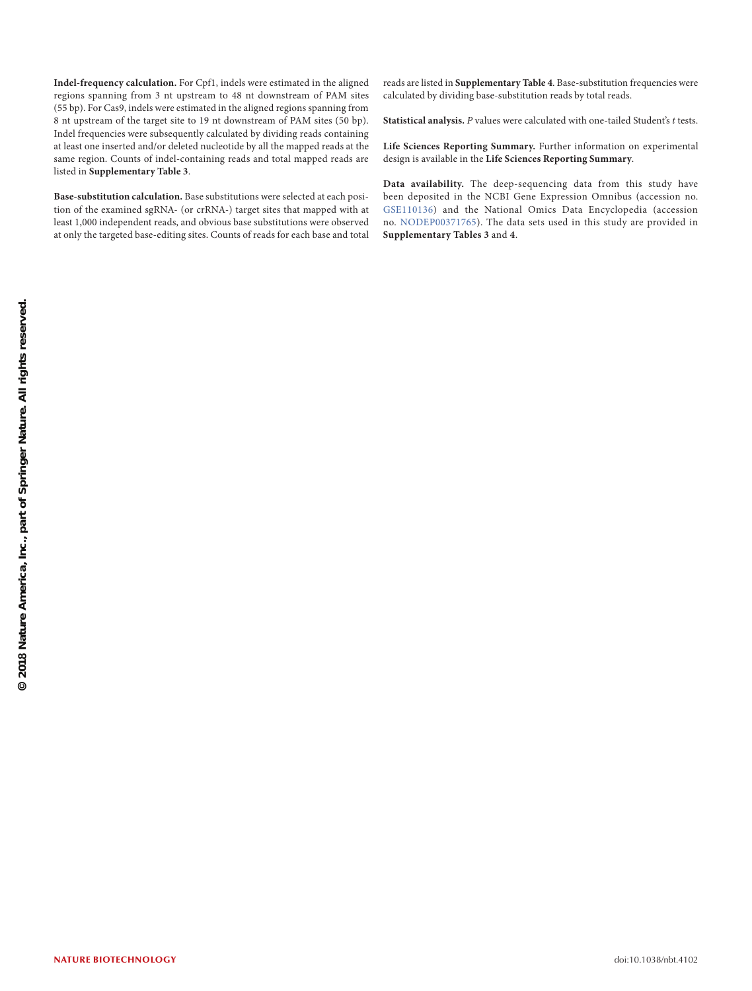**Indel-frequency calculation.** For Cpf1, indels were estimated in the aligned regions spanning from 3 nt upstream to 48 nt downstream of PAM sites (55 bp). For Cas9, indels were estimated in the aligned regions spanning from 8 nt upstream of the target site to 19 nt downstream of PAM sites (50 bp). Indel frequencies were subsequently calculated by dividing reads containing at least one inserted and/or deleted nucleotide by all the mapped reads at the same region. Counts of indel-containing reads and total mapped reads are listed in **Supplementary Table 3**.

**Base-substitution calculation.** Base substitutions were selected at each position of the examined sgRNA- (or crRNA-) target sites that mapped with at least 1,000 independent reads, and obvious base substitutions were observed at only the targeted base-editing sites. Counts of reads for each base and total reads are listed in **Supplementary Table 4**. Base-substitution frequencies were calculated by dividing base-substitution reads by total reads.

**Statistical analysis.** *P* values were calculated with one-tailed Student's *t* tests.

**Life Sciences Reporting Summary.** Further information on experimental design is available in the **Life Sciences Reporting Summary**.

**Data availability.** The deep-sequencing data from this study have been deposited in the NCBI Gene Expression Omnibus (accession no. [GSE110136](https://www.ncbi.nlm.nih.gov/geo/query/acc.cgi?acc=GSE110136)) and the National Omics Data Encyclopedia (accession no. [NODEP00371765\)](http://www.biosino.org/node/project/detail/NODEP00371765/). The data sets used in this study are provided in **Supplementary Tables 3** and **4**.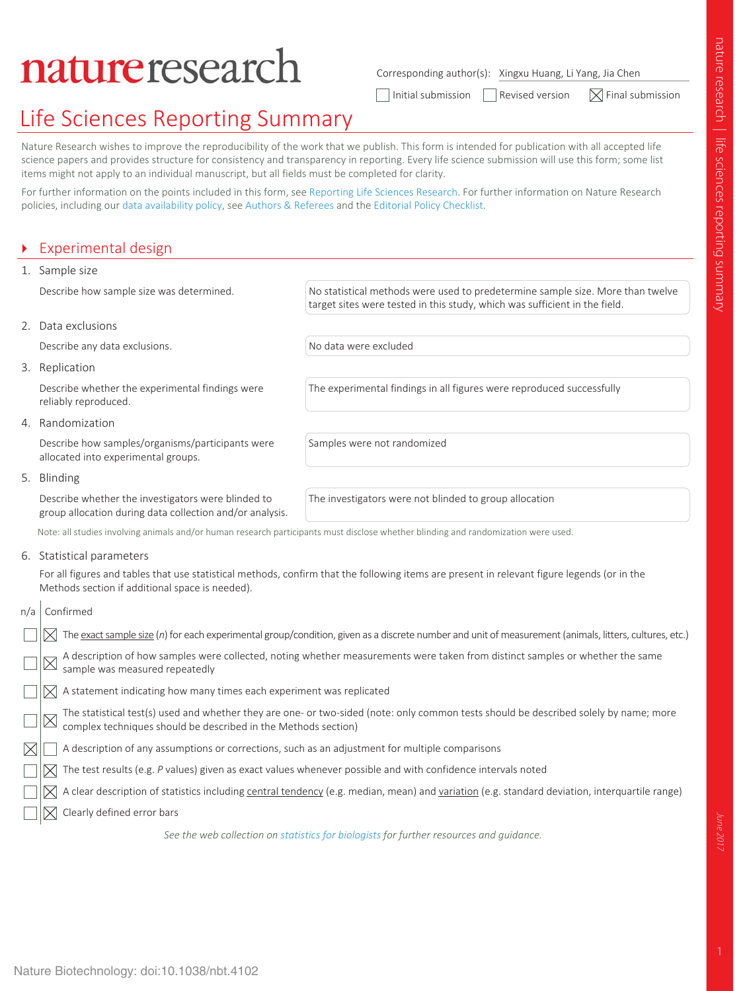# natureresearch

Corresponding author(s): Xingxu Huang, Li Yang, Jia Chen

Thitial submission  $\Box$  Revised version  $\Box$  Final submission

# Life Sciences Reporting Summary

Nature Research wishes to improve the reproducibility of the work that we publish. This form is intended for publication with all accepted life science papers and provides structure for consistency and transparency in reporting. Every life science submission will use this form; some list items might not apply to an individual manuscript, but all fields must be completed for clarity.

For further information on the points included in this form, see Reporting Life Sciences Research. For further information on Nature Research policies, including our data availability policy, see Authors & Referees and the Editorial Policy Checklist.

# **Experimental design**

|     | 1. Sample size                                                                                                                                                                                 |                                                                                                                                                              |
|-----|------------------------------------------------------------------------------------------------------------------------------------------------------------------------------------------------|--------------------------------------------------------------------------------------------------------------------------------------------------------------|
|     | Describe how sample size was determined.                                                                                                                                                       | No statistical methods were used to predetermine sample size. More than twelve<br>target sites were tested in this study, which was sufficient in the field. |
|     | 2. Data exclusions                                                                                                                                                                             |                                                                                                                                                              |
|     | Describe any data exclusions.                                                                                                                                                                  | No data were excluded                                                                                                                                        |
|     | 3. Replication                                                                                                                                                                                 |                                                                                                                                                              |
|     | Describe whether the experimental findings were<br>reliably reproduced.                                                                                                                        | The experimental findings in all figures were reproduced successfully                                                                                        |
|     | 4. Randomization                                                                                                                                                                               |                                                                                                                                                              |
|     | Describe how samples/organisms/participants were<br>allocated into experimental groups.                                                                                                        | Samples were not randomized                                                                                                                                  |
|     | 5. Blinding                                                                                                                                                                                    |                                                                                                                                                              |
|     | Describe whether the investigators were blinded to<br>group allocation during data collection and/or analysis.                                                                                 | The investigators were not blinded to group allocation                                                                                                       |
|     | Note: all studies involving animals and/or human research participants must disclose whether blinding and randomization were used.                                                             |                                                                                                                                                              |
|     | 6. Statistical parameters                                                                                                                                                                      |                                                                                                                                                              |
|     | For all figures and tables that use statistical methods, confirm that the following items are present in relevant figure legends (or in the<br>Methods section if additional space is needed). |                                                                                                                                                              |
| n/a | Confirmed                                                                                                                                                                                      |                                                                                                                                                              |
|     | The exact sample size (n) for each experimental group/condition, given as a discrete number and unit of measurement (animals, litters, cultures, etc.)                                         |                                                                                                                                                              |

 $[\times]$  A statement indicating how many times each experiment was replicated

The statistical test(s) used and whether they are one- or two-sided (note: only common tests should be described solely by name; more complex techniques should be described in the Methods section)

A description of any assumptions or corrections, such as an adjustment for multiple comparisons

 $\boxtimes$ The test results (e.g. *P* values) given as exact values whenever possible and with confidence intervals noted

 $\boxtimes$ A clear description of statistics including central tendency (e.g. median, mean) and variation (e.g. standard deviation, interquartile range)

 $\boxtimes$ Clearly defined error bars

*See the web collection on statistics for biologists for further resources and guidance.*